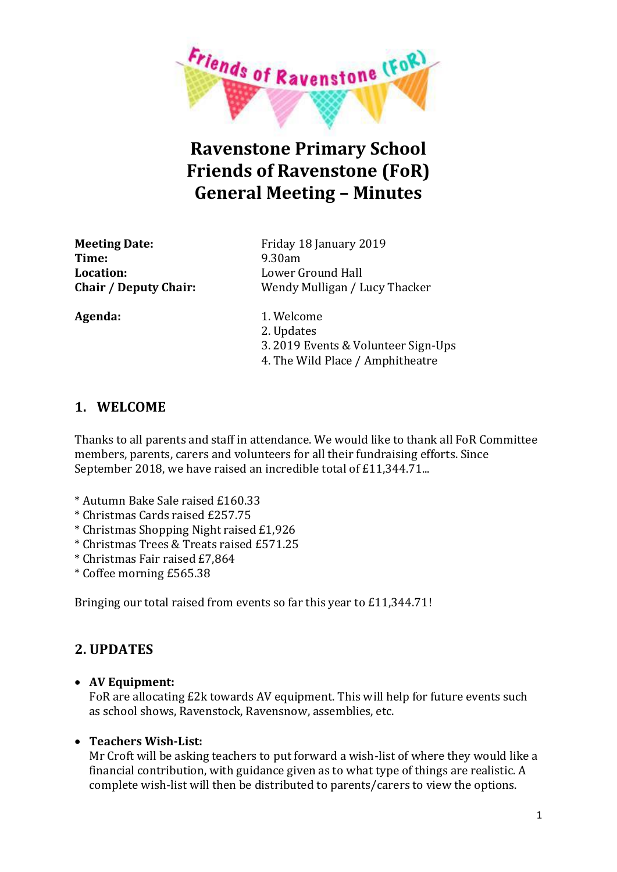

# **Ravenstone Primary School Friends of Ravenstone (FoR) General Meeting – Minutes**

**Time:** 9.30am **Location:** Lower Ground Hall

**Meeting Date:** Friday 18 January 2019 **Chair / Deputy Chair:** Wendy Mulligan / Lucy Thacker

Agenda: 1. Welcome 2. Updates 3. 2019 Events & Volunteer Sign-Ups 4. The Wild Place / Amphitheatre

# **1. WELCOME**

Thanks to all parents and staff in attendance. We would like to thank all FoR Committee members, parents, carers and volunteers for all their fundraising efforts. Since September 2018, we have raised an incredible total of £11,344.71...

- \* Autumn Bake Sale raised £160.33
- \* Christmas Cards raised £257.75
- \* Christmas Shopping Night raised £1,926
- \* Christmas Trees & Treats raised £571.25
- \* Christmas Fair raised £7,864
- \* Coffee morning £565.38

Bringing our total raised from events so far this year to £11,344.71!

# **2. UPDATES**

x **AV Equipment:**

FoR are allocating £2k towards AV equipment. This will help for future events such as school shows, Ravenstock, Ravensnow, assemblies, etc.

## x **Teachers Wish-List:**

Mr Croft will be asking teachers to put forward a wish-list of where they would like a financial contribution, with guidance given as to what type of things are realistic. A complete wish-list will then be distributed to parents/carers to view the options.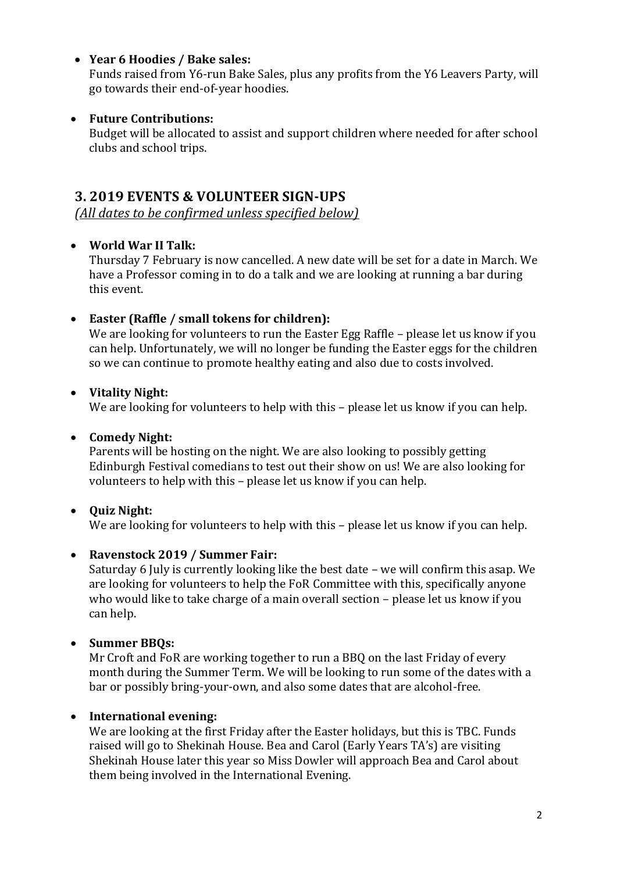#### x **Year 6 Hoodies / Bake sales:**

Funds raised from Y6-run Bake Sales, plus any profits from the Y6 Leavers Party, will go towards their end-of-year hoodies.

#### x **Future Contributions:**

Budget will be allocated to assist and support children where needed for after school clubs and school trips.

## **3. 2019 EVENTS & VOLUNTEER SIGN-UPS**

*(All dates to be confirmed unless specified below)*

#### x **World War II Talk:**

Thursday 7 February is now cancelled. A new date will be set for a date in March. We have a Professor coming in to do a talk and we are looking at running a bar during this event.

#### x **Easter (Raffle / small tokens for children):**

We are looking for volunteers to run the Easter Egg Raffle – please let us know if you can help. Unfortunately, we will no longer be funding the Easter eggs for the children so we can continue to promote healthy eating and also due to costs involved.

#### x **Vitality Night:**

We are looking for volunteers to help with this – please let us know if you can help.

#### x **Comedy Night:**

Parents will be hosting on the night. We are also looking to possibly getting Edinburgh Festival comedians to test out their show on us! We are also looking for volunteers to help with this – please let us know if you can help.

## x **Quiz Night:**

We are looking for volunteers to help with this – please let us know if you can help.

#### x **Ravenstock 2019 / Summer Fair:**

Saturday 6 July is currently looking like the best date – we will confirm this asap. We are looking for volunteers to help the FoR Committee with this, specifically anyone who would like to take charge of a main overall section – please let us know if you can help.

#### x **Summer BBQs:**

Mr Croft and FoR are working together to run a BBQ on the last Friday of every month during the Summer Term. We will be looking to run some of the dates with a bar or possibly bring-your-own, and also some dates that are alcohol-free.

## x **International evening:**

We are looking at the first Friday after the Easter holidays, but this is TBC. Funds raised will go to Shekinah House. Bea and Carol (Early Years TA's) are visiting Shekinah House later this year so Miss Dowler will approach Bea and Carol about them being involved in the International Evening.